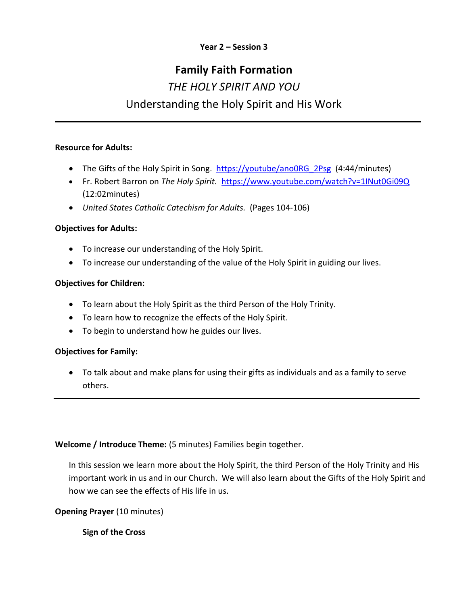## **Year 2 – Session 3**

# **Family Faith Formation**

# *THE HOLY SPIRIT AND YOU*  Understanding the Holy Spirit and His Work

#### **Resource for Adults:**

- The Gifts of the Holy Spirit in Song. [https://youtube/ano0RG\\_2Psg](https://youtube/ano0RG_2Psg) (4:44/minutes)
- Fr. Robert Barron on *The Holy Spirit.* <https://www.youtube.com/watch?v=1INut0Gi09Q> (12:02minutes)
- *United States Catholic Catechism for Adults.* (Pages 104-106)

#### **Objectives for Adults:**

- To increase our understanding of the Holy Spirit.
- To increase our understanding of the value of the Holy Spirit in guiding our lives.

#### **Objectives for Children:**

- To learn about the Holy Spirit as the third Person of the Holy Trinity.
- To learn how to recognize the effects of the Holy Spirit.
- To begin to understand how he guides our lives.

# **Objectives for Family:**

 To talk about and make plans for using their gifts as individuals and as a family to serve others.

**Welcome / Introduce Theme:** (5 minutes) Families begin together.

In this session we learn more about the Holy Spirit, the third Person of the Holy Trinity and His important work in us and in our Church. We will also learn about the Gifts of the Holy Spirit and how we can see the effects of His life in us.

**Opening Prayer** (10 minutes)

**Sign of the Cross**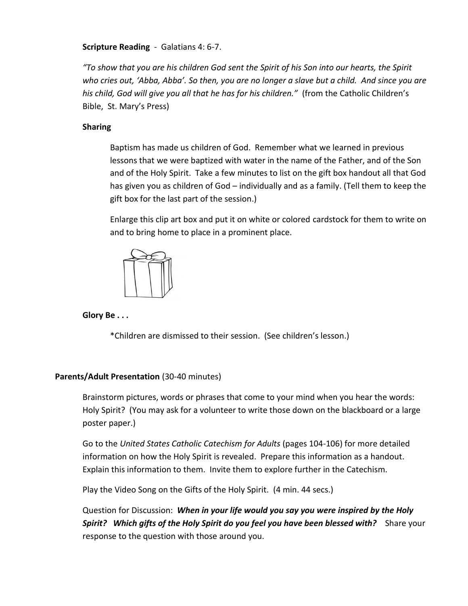#### **Scripture Reading** - Galatians 4: 6-7.

*"To show that you are his children God sent the Spirit of his Son into our hearts, the Spirit who cries out, 'Abba, Abba'. So then, you are no longer a slave but a child. And since you are his child, God will give you all that he has for his children."* (from the Catholic Children's Bible, St. Mary's Press)

#### **Sharing**

Baptism has made us children of God. Remember what we learned in previous lessons that we were baptized with water in the name of the Father, and of the Son and of the Holy Spirit. Take a few minutes to list on the gift box handout all that God has given you as children of God – individually and as a family. (Tell them to keep the gift box for the last part of the session.)

Enlarge this clip art box and put it on white or colored cardstock for them to write on and to bring home to place in a prominent place.



**Glory Be . . .**

\*Children are dismissed to their session. (See children's lesson.)

#### **Parents/Adult Presentation** (30-40 minutes)

Brainstorm pictures, words or phrases that come to your mind when you hear the words: Holy Spirit? (You may ask for a volunteer to write those down on the blackboard or a large poster paper.)

Go to the *United States Catholic Catechism for Adults* (pages 104-106) for more detailed information on how the Holy Spirit is revealed. Prepare this information as a handout. Explain this information to them. Invite them to explore further in the Catechism.

Play the Video Song on the Gifts of the Holy Spirit. (4 min. 44 secs.)

Question for Discussion: *When in your life would you say you were inspired by the Holy*  **Spirit?** Which gifts of the Holy Spirit do you feel you have been blessed with? Share your response to the question with those around you.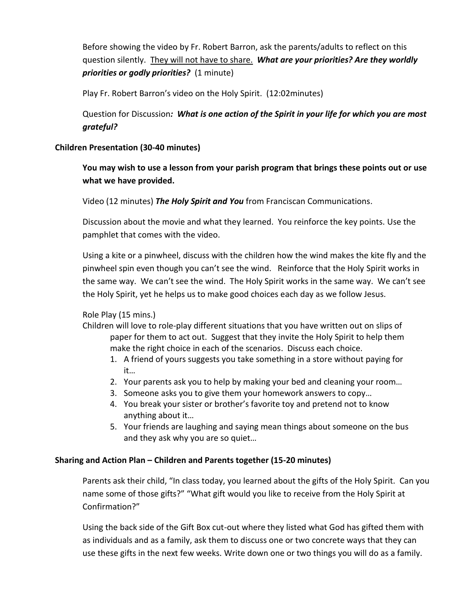Before showing the video by Fr. Robert Barron, ask the parents/adults to reflect on this question silently. They will not have to share. *What are your priorities? Are they worldly priorities or godly priorities?* (1 minute)

Play Fr. Robert Barron's video on the Holy Spirit. (12:02minutes)

Question for Discussion*: What is one action of the Spirit in your life for which you are most grateful?* 

## **Children Presentation (30-40 minutes)**

**You may wish to use a lesson from your parish program that brings these points out or use what we have provided.**

Video (12 minutes) *The Holy Spirit and You* from Franciscan Communications.

Discussion about the movie and what they learned. You reinforce the key points. Use the pamphlet that comes with the video.

Using a kite or a pinwheel, discuss with the children how the wind makes the kite fly and the pinwheel spin even though you can't see the wind. Reinforce that the Holy Spirit works in the same way. We can't see the wind. The Holy Spirit works in the same way. We can't see the Holy Spirit, yet he helps us to make good choices each day as we follow Jesus.

# Role Play (15 mins.)

- Children will love to role-play different situations that you have written out on slips of paper for them to act out. Suggest that they invite the Holy Spirit to help them make the right choice in each of the scenarios. Discuss each choice.
	- 1. A friend of yours suggests you take something in a store without paying for it…
	- 2. Your parents ask you to help by making your bed and cleaning your room…
	- 3. Someone asks you to give them your homework answers to copy…
	- 4. You break your sister or brother's favorite toy and pretend not to know anything about it…
	- 5. Your friends are laughing and saying mean things about someone on the bus and they ask why you are so quiet…

# **Sharing and Action Plan – Children and Parents together (15-20 minutes)**

Parents ask their child, "In class today, you learned about the gifts of the Holy Spirit. Can you name some of those gifts?" "What gift would you like to receive from the Holy Spirit at Confirmation?"

Using the back side of the Gift Box cut-out where they listed what God has gifted them with as individuals and as a family, ask them to discuss one or two concrete ways that they can use these gifts in the next few weeks. Write down one or two things you will do as a family.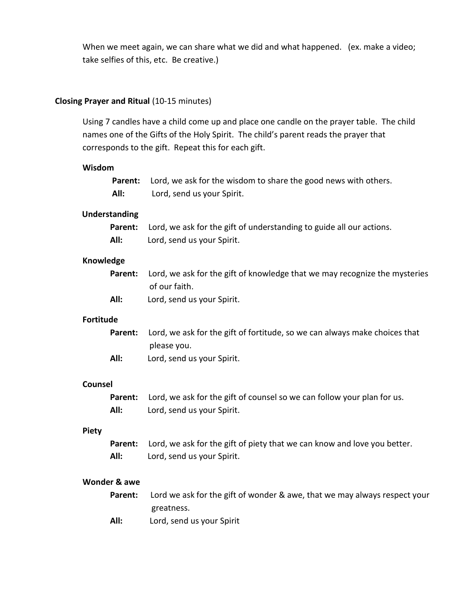When we meet again, we can share what we did and what happened. (ex. make a video; take selfies of this, etc. Be creative.)

#### **Closing Prayer and Ritual** (10-15 minutes)

Using 7 candles have a child come up and place one candle on the prayer table. The child names one of the Gifts of the Holy Spirit. The child's parent reads the prayer that corresponds to the gift. Repeat this for each gift.

#### **Wisdom**

|      | <b>Parent:</b> Lord, we ask for the wisdom to share the good news with others. |  |  |
|------|--------------------------------------------------------------------------------|--|--|
| All: | Lord, send us your Spirit.                                                     |  |  |

#### **Understanding**

|      | <b>Parent:</b> Lord, we ask for the gift of understanding to guide all our actions. |
|------|-------------------------------------------------------------------------------------|
| All: | Lord, send us your Spirit.                                                          |

#### **Knowledge**

|      | <b>Parent:</b> Lord, we ask for the gift of knowledge that we may recognize the mysteries |
|------|-------------------------------------------------------------------------------------------|
|      | of our faith.                                                                             |
| All: | Lord, send us your Spirit.                                                                |

#### **Fortitude**

**Counsel** 

|      | <b>Parent:</b> Lord, we ask for the gift of fortitude, so we can always make choices that |
|------|-------------------------------------------------------------------------------------------|
|      | please you.                                                                               |
| All: | Lord, send us your Spirit.                                                                |

|      | <b>Parent:</b> Lord, we ask for the gift of counsel so we can follow your plan for us. |
|------|----------------------------------------------------------------------------------------|
| All: | Lord, send us your Spirit.                                                             |

#### **Piety**

|      | <b>Parent:</b> Lord, we ask for the gift of piety that we can know and love you better. |
|------|-----------------------------------------------------------------------------------------|
| All: | Lord, send us your Spirit.                                                              |

#### **Wonder & awe**

**Parent:** Lord we ask for the gift of wonder & awe, that we may always respect your greatness.

**All:** Lord, send us your Spirit